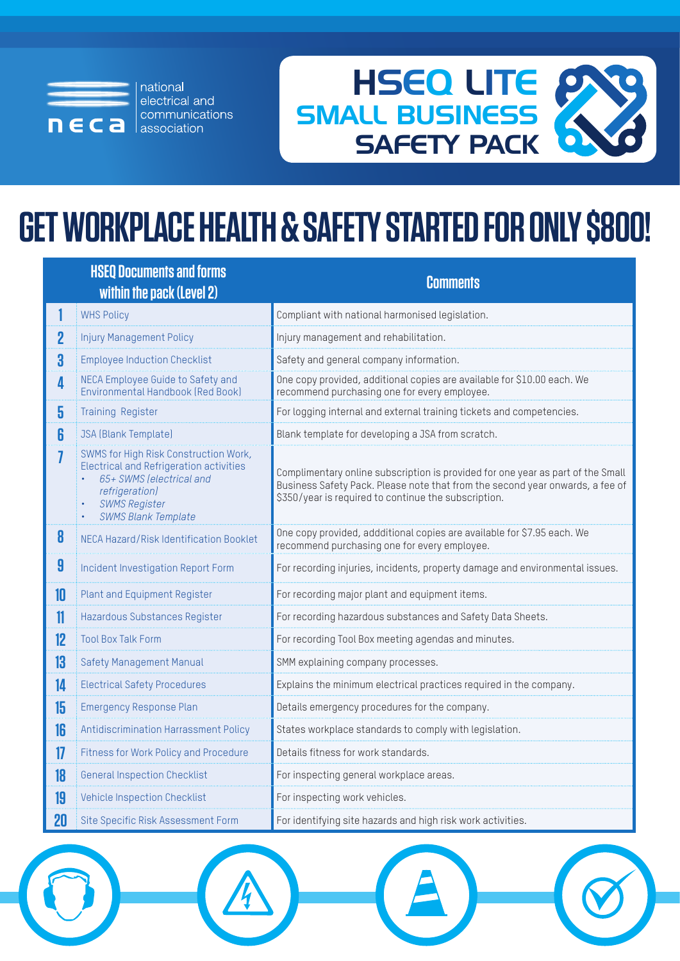

national electrical and communications association



# **GET WORKPLACE HEALTH & SAFETY STARTED FOR ONLY \$800!**

|    | <b>HSEQ Documents and forms</b><br>within the pack (Level 2)                                                                                                                                | <b>Comments</b>                                                                                                                                                                                                          |
|----|---------------------------------------------------------------------------------------------------------------------------------------------------------------------------------------------|--------------------------------------------------------------------------------------------------------------------------------------------------------------------------------------------------------------------------|
|    | <b>WHS Policy</b>                                                                                                                                                                           | Compliant with national harmonised legislation.                                                                                                                                                                          |
| 2  | <b>Injury Management Policy</b>                                                                                                                                                             | Injury management and rehabilitation.                                                                                                                                                                                    |
| 3  | <b>Employee Induction Checklist</b>                                                                                                                                                         | Safety and general company information.                                                                                                                                                                                  |
| 4  | NECA Employee Guide to Safety and<br>Environmental Handbook (Red Book)                                                                                                                      | One copy provided, additional copies are available for \$10.00 each. We<br>recommend purchasing one for every employee.                                                                                                  |
| 5  | <b>Training Register</b>                                                                                                                                                                    | For logging internal and external training tickets and competencies.                                                                                                                                                     |
| 6  | <b>JSA</b> (Blank Template)                                                                                                                                                                 | Blank template for developing a JSA from scratch.                                                                                                                                                                        |
|    | SWMS for High Risk Construction Work,<br><b>Electrical and Refrigeration activities</b><br>65+ SWMS (electrical and<br>refrigeration)<br><b>SWMS Register</b><br><b>SWMS Blank Template</b> | Complimentary online subscription is provided for one year as part of the Small<br>Business Safety Pack. Please note that from the second year onwards, a fee of<br>\$350/year is required to continue the subscription. |
| 8  | NECA Hazard/Risk Identification Booklet                                                                                                                                                     | One copy provided, addditional copies are available for \$7.95 each. We<br>recommend purchasing one for every employee.                                                                                                  |
| 9  | Incident Investigation Report Form                                                                                                                                                          | For recording injuries, incidents, property damage and environmental issues.                                                                                                                                             |
| 10 | <b>Plant and Equipment Register</b>                                                                                                                                                         | For recording major plant and equipment items.                                                                                                                                                                           |
| 11 | Hazardous Substances Register                                                                                                                                                               | For recording hazardous substances and Safety Data Sheets.                                                                                                                                                               |
| 12 | <b>Tool Box Talk Form</b>                                                                                                                                                                   | For recording Tool Box meeting agendas and minutes.                                                                                                                                                                      |
| 13 | <b>Safety Management Manual</b>                                                                                                                                                             | SMM explaining company processes.                                                                                                                                                                                        |
| 14 | <b>Electrical Safety Procedures</b>                                                                                                                                                         | Explains the minimum electrical practices required in the company.                                                                                                                                                       |
| 15 | <b>Emergency Response Plan</b>                                                                                                                                                              | Details emergency procedures for the company.                                                                                                                                                                            |
| 16 | Antidiscrimination Harrassment Policy                                                                                                                                                       | States workplace standards to comply with legislation.                                                                                                                                                                   |
| 17 | <b>Fitness for Work Policy and Procedure</b>                                                                                                                                                | Details fitness for work standards.                                                                                                                                                                                      |
| 18 | <b>General Inspection Checklist</b>                                                                                                                                                         | For inspecting general workplace areas.                                                                                                                                                                                  |
| 19 | <b>Vehicle Inspection Checklist</b>                                                                                                                                                         | For inspecting work vehicles.                                                                                                                                                                                            |
| 20 | Site Specific Risk Assessment Form                                                                                                                                                          | For identifying site hazards and high risk work activities.                                                                                                                                                              |